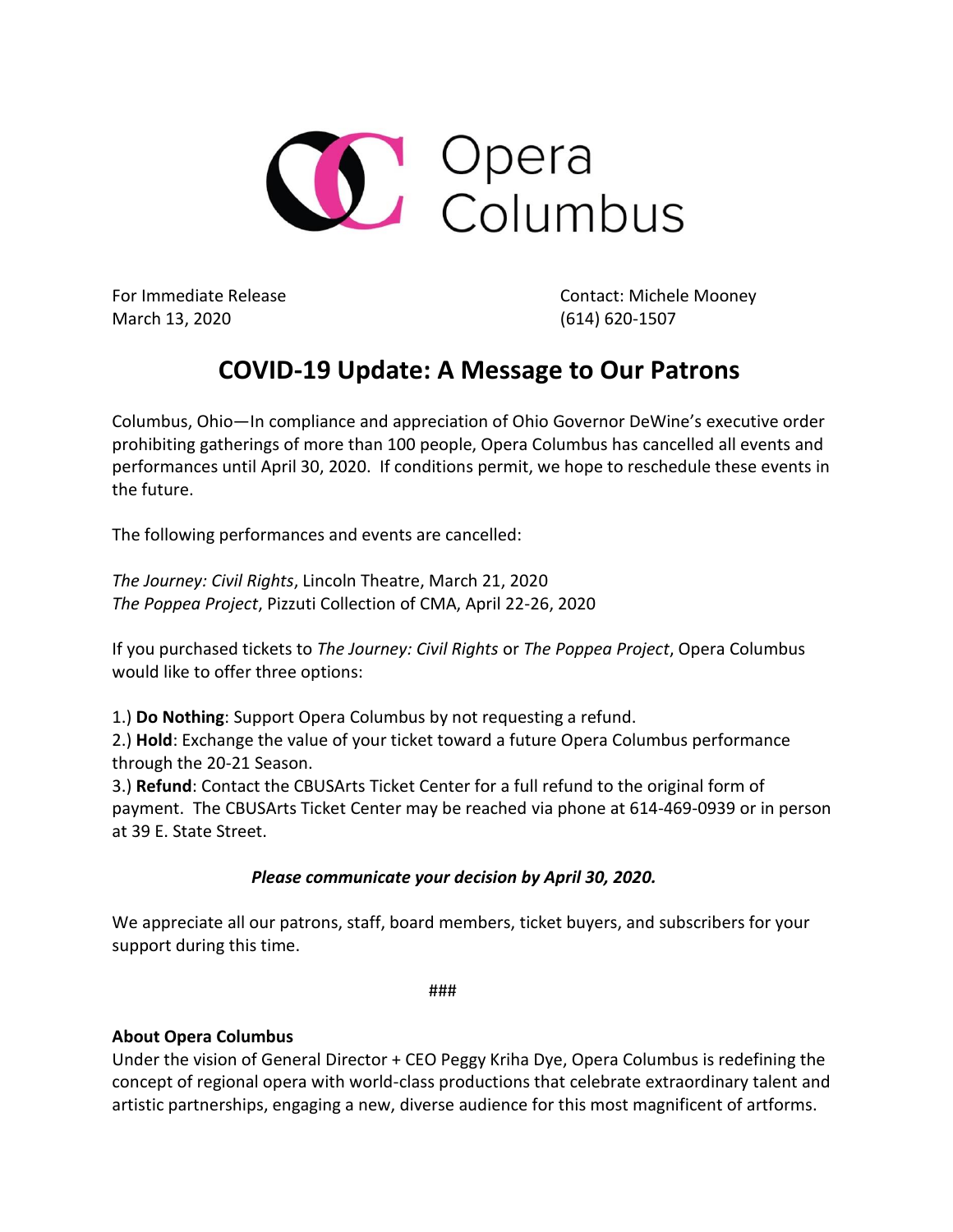

March 13, 2020 (614) 620-1507

For Immediate Release Contact: Michele Mooney

## **COVID-19 Update: A Message to Our Patrons**

Columbus, Ohio—In compliance and appreciation of Ohio Governor DeWine's executive order prohibiting gatherings of more than 100 people, Opera Columbus has cancelled all events and performances until April 30, 2020. If conditions permit, we hope to reschedule these events in the future.

The following performances and events are cancelled:

*The Journey: Civil Rights*, Lincoln Theatre, March 21, 2020 *The Poppea Project*, Pizzuti Collection of CMA, April 22-26, 2020

If you purchased tickets to *The Journey: Civil Rights* or *The Poppea Project*, Opera Columbus would like to offer three options:

1.) **Do Nothing**: Support Opera Columbus by not requesting a refund.

2.) **Hold**: Exchange the value of your ticket toward a future Opera Columbus performance through the 20-21 Season.

3.) **Refund**: Contact the CBUSArts Ticket Center for a full refund to the original form of payment. The CBUSArts Ticket Center may be reached via phone at 614-469-0939 or in person at 39 E. State Street.

## *Please communicate your decision by April 30, 2020.*

We appreciate all our patrons, staff, board members, ticket buyers, and subscribers for your support during this time.

###

## **About Opera Columbus**

Under the vision of General Director + CEO Peggy Kriha Dye, Opera Columbus is redefining the concept of regional opera with world-class productions that celebrate extraordinary talent and artistic partnerships, engaging a new, diverse audience for this most magnificent of artforms.